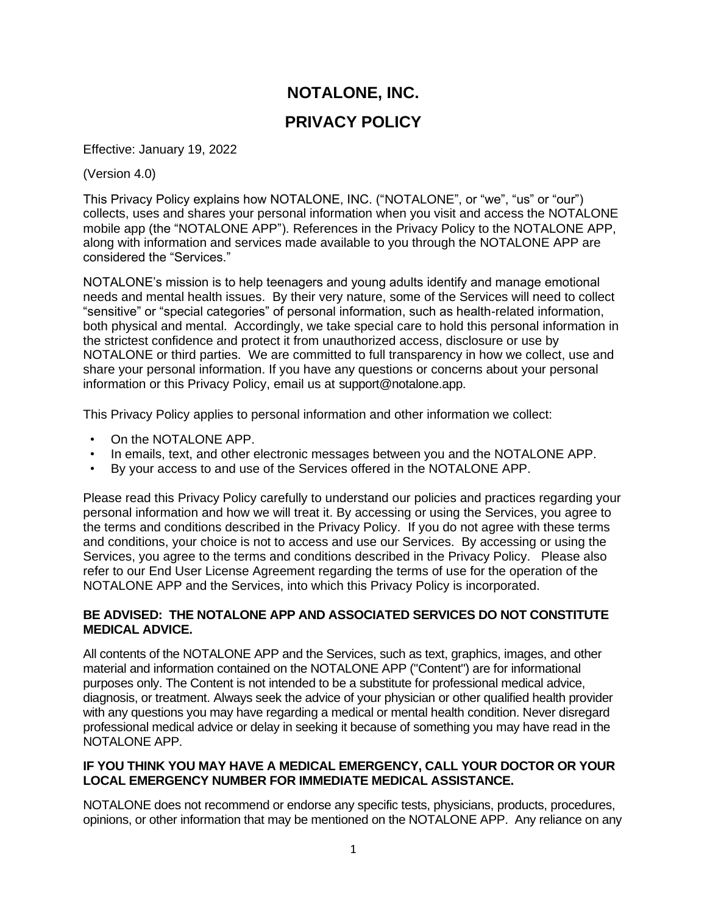# **NOTALONE, INC. PRIVACY POLICY**

Effective: January 19, 2022

(Version 4.0)

This Privacy Policy explains how NOTALONE, INC. ("NOTALONE", or "we", "us" or "our") collects, uses and shares your personal information when you visit and access the NOTALONE mobile app (the "NOTALONE APP"). References in the Privacy Policy to the NOTALONE APP, along with information and services made available to you through the NOTALONE APP are considered the "Services."

NOTALONE's mission is to help teenagers and young adults identify and manage emotional needs and mental health issues. By their very nature, some of the Services will need to collect "sensitive" or "special categories" of personal information, such as health-related information, both physical and mental. Accordingly, we take special care to hold this personal information in the strictest confidence and protect it from unauthorized access, disclosure or use by NOTALONE or third parties. We are committed to full transparency in how we collect, use and share your personal information. If you have any questions or concerns about your personal information or this Privacy Policy, email us at support@notalone.app.

This Privacy Policy applies to personal information and other information we collect:

- On the NOTALONE APP.
- In emails, text, and other electronic messages between you and the NOTALONE APP.
- By your access to and use of the Services offered in the NOTALONE APP.

Please read this Privacy Policy carefully to understand our policies and practices regarding your personal information and how we will treat it. By accessing or using the Services, you agree to the terms and conditions described in the Privacy Policy. If you do not agree with these terms and conditions, your choice is not to access and use our Services. By accessing or using the Services, you agree to the terms and conditions described in the Privacy Policy. Please also refer to our End User License Agreement regarding the terms of use for the operation of the NOTALONE APP and the Services, into which this Privacy Policy is incorporated.

## **BE ADVISED: THE NOTALONE APP AND ASSOCIATED SERVICES DO NOT CONSTITUTE MEDICAL ADVICE.**

All contents of the NOTALONE APP and the Services, such as text, graphics, images, and other material and information contained on the NOTALONE APP ("Content") are for informational purposes only. The Content is not intended to be a substitute for professional medical advice, diagnosis, or treatment. Always seek the advice of your physician or other qualified health provider with any questions you may have regarding a medical or mental health condition. Never disregard professional medical advice or delay in seeking it because of something you may have read in the NOTALONE APP.

## **IF YOU THINK YOU MAY HAVE A MEDICAL EMERGENCY, CALL YOUR DOCTOR OR YOUR LOCAL EMERGENCY NUMBER FOR IMMEDIATE MEDICAL ASSISTANCE.**

NOTALONE does not recommend or endorse any specific tests, physicians, products, procedures, opinions, or other information that may be mentioned on the NOTALONE APP. Any reliance on any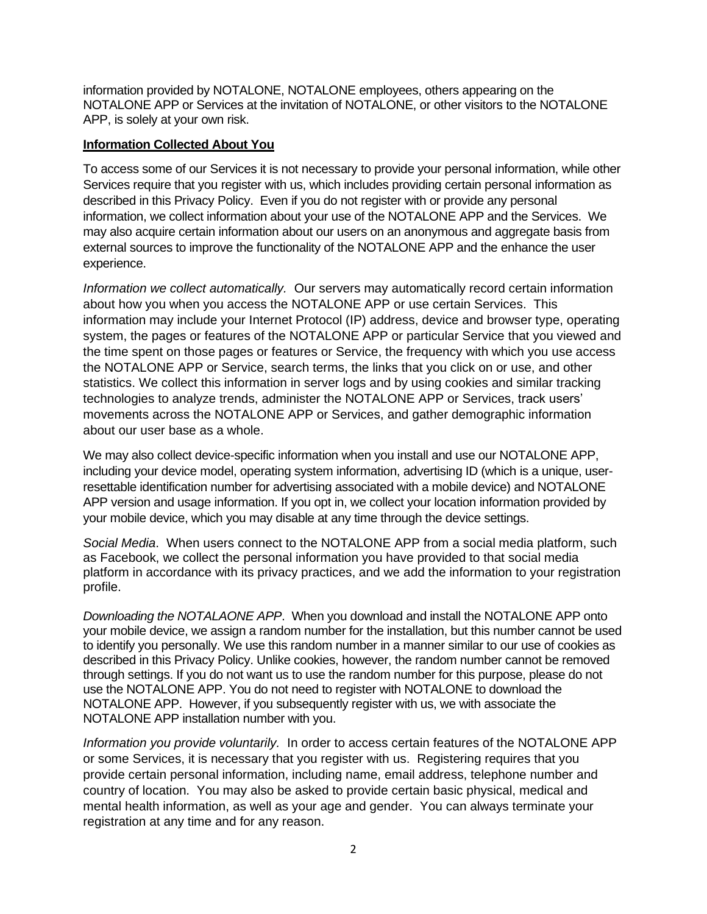information provided by NOTALONE, NOTALONE employees, others appearing on the NOTALONE APP or Services at the invitation of NOTALONE, or other visitors to the NOTALONE APP, is solely at your own risk.

#### **Information Collected About You**

To access some of our Services it is not necessary to provide your personal information, while other Services require that you register with us, which includes providing certain personal information as described in this Privacy Policy. Even if you do not register with or provide any personal information, we collect information about your use of the NOTALONE APP and the Services. We may also acquire certain information about our users on an anonymous and aggregate basis from external sources to improve the functionality of the NOTALONE APP and the enhance the user experience.

*Information we collect automatically.* Our servers may automatically record certain information about how you when you access the NOTALONE APP or use certain Services. This information may include your Internet Protocol (IP) address, device and browser type, operating system, the pages or features of the NOTALONE APP or particular Service that you viewed and the time spent on those pages or features or Service, the frequency with which you use access the NOTALONE APP or Service, search terms, the links that you click on or use, and other statistics. We collect this information in server logs and by using cookies and similar tracking technologies to analyze trends, administer the NOTALONE APP or Services, track users' movements across the NOTALONE APP or Services, and gather demographic information about our user base as a whole.

We may also collect device-specific information when you install and use our NOTALONE APP, including your device model, operating system information, advertising ID (which is a unique, userresettable identification number for advertising associated with a mobile device) and NOTALONE APP version and usage information. If you opt in, we collect your location information provided by your mobile device, which you may disable at any time through the device settings.

*Social Media*. When users connect to the NOTALONE APP from a social media platform, such as Facebook, we collect the personal information you have provided to that social media platform in accordance with its privacy practices, and we add the information to your registration profile.

*Downloading the NOTALAONE APP*. When you download and install the NOTALONE APP onto your mobile device, we assign a random number for the installation, but this number cannot be used to identify you personally. We use this random number in a manner similar to our use of cookies as described in this Privacy Policy. Unlike cookies, however, the random number cannot be removed through settings. If you do not want us to use the random number for this purpose, please do not use the NOTALONE APP. You do not need to register with NOTALONE to download the NOTALONE APP. However, if you subsequently register with us, we with associate the NOTALONE APP installation number with you.

*Information you provide voluntarily.* In order to access certain features of the NOTALONE APP or some Services, it is necessary that you register with us. Registering requires that you provide certain personal information, including name, email address, telephone number and country of location. You may also be asked to provide certain basic physical, medical and mental health information, as well as your age and gender. You can always terminate your registration at any time and for any reason.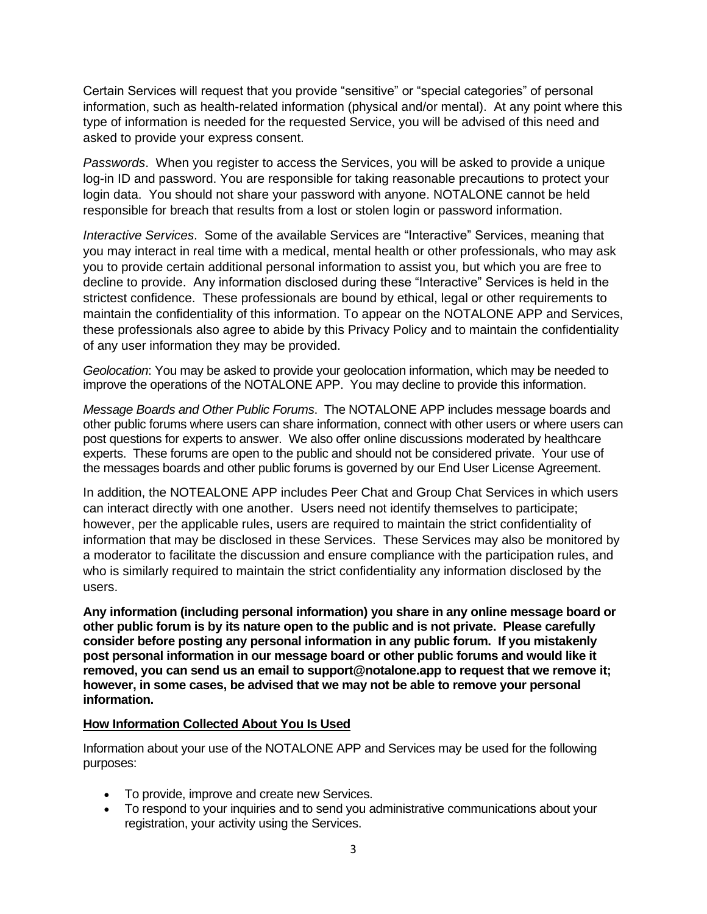Certain Services will request that you provide "sensitive" or "special categories" of personal information, such as health-related information (physical and/or mental). At any point where this type of information is needed for the requested Service, you will be advised of this need and asked to provide your express consent.

*Passwords*. When you register to access the Services, you will be asked to provide a unique log-in ID and password. You are responsible for taking reasonable precautions to protect your login data. You should not share your password with anyone. NOTALONE cannot be held responsible for breach that results from a lost or stolen login or password information.

*Interactive Services*. Some of the available Services are "Interactive" Services, meaning that you may interact in real time with a medical, mental health or other professionals, who may ask you to provide certain additional personal information to assist you, but which you are free to decline to provide. Any information disclosed during these "Interactive" Services is held in the strictest confidence. These professionals are bound by ethical, legal or other requirements to maintain the confidentiality of this information. To appear on the NOTALONE APP and Services, these professionals also agree to abide by this Privacy Policy and to maintain the confidentiality of any user information they may be provided.

*Geolocation*: You may be asked to provide your geolocation information, which may be needed to improve the operations of the NOTALONE APP. You may decline to provide this information.

*Message Boards and Other Public Forums*. The NOTALONE APP includes message boards and other public forums where users can share information, connect with other users or where users can post questions for experts to answer. We also offer online discussions moderated by healthcare experts. These forums are open to the public and should not be considered private. Your use of the messages boards and other public forums is governed by our End User License Agreement.

In addition, the NOTEALONE APP includes Peer Chat and Group Chat Services in which users can interact directly with one another. Users need not identify themselves to participate; however, per the applicable rules, users are required to maintain the strict confidentiality of information that may be disclosed in these Services. These Services may also be monitored by a moderator to facilitate the discussion and ensure compliance with the participation rules, and who is similarly required to maintain the strict confidentiality any information disclosed by the users.

**Any information (including personal information) you share in any online message board or other public forum is by its nature open to the public and is not private. Please carefully consider before posting any personal information in any public forum. If you mistakenly post personal information in our message board or other public forums and would like it removed, you can send us an email to support@notalone.app to request that we remove it; however, in some cases, be advised that we may not be able to remove your personal information.** 

## **How Information Collected About You Is Used**

Information about your use of the NOTALONE APP and Services may be used for the following purposes:

- To provide, improve and create new Services.
- To respond to your inquiries and to send you administrative communications about your registration, your activity using the Services.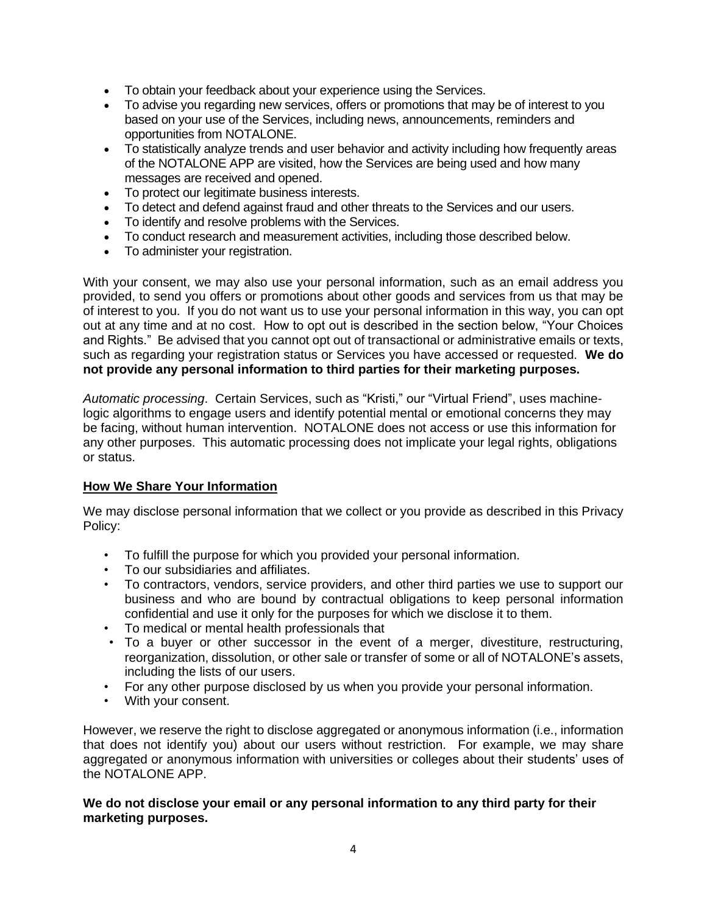- To obtain your feedback about your experience using the Services.
- To advise you regarding new services, offers or promotions that may be of interest to you based on your use of the Services, including news, announcements, reminders and opportunities from NOTALONE.
- To statistically analyze trends and user behavior and activity including how frequently areas of the NOTALONE APP are visited, how the Services are being used and how many messages are received and opened.
- To protect our legitimate business interests.
- To detect and defend against fraud and other threats to the Services and our users.
- To identify and resolve problems with the Services.
- To conduct research and measurement activities, including those described below.
- To administer your registration.

With your consent, we may also use your personal information, such as an email address you provided, to send you offers or promotions about other goods and services from us that may be of interest to you. If you do not want us to use your personal information in this way, you can opt out at any time and at no cost. How to opt out is described in the section below, "Your Choices and Rights." Be advised that you cannot opt out of transactional or administrative emails or texts, such as regarding your registration status or Services you have accessed or requested. **We do not provide any personal information to third parties for their marketing purposes.** 

*Automatic processing*. Certain Services, such as "Kristi," our "Virtual Friend", uses machinelogic algorithms to engage users and identify potential mental or emotional concerns they may be facing, without human intervention. NOTALONE does not access or use this information for any other purposes. This automatic processing does not implicate your legal rights, obligations or status.

## **How We Share Your Information**

We may disclose personal information that we collect or you provide as described in this Privacy Policy:

- To fulfill the purpose for which you provided your personal information.
- To our subsidiaries and affiliates.
- To contractors, vendors, service providers, and other third parties we use to support our business and who are bound by contractual obligations to keep personal information confidential and use it only for the purposes for which we disclose it to them.
- To medical or mental health professionals that
- To a buyer or other successor in the event of a merger, divestiture, restructuring, reorganization, dissolution, or other sale or transfer of some or all of NOTALONE's assets, including the lists of our users.
- For any other purpose disclosed by us when you provide your personal information.
- With your consent.

However, we reserve the right to disclose aggregated or anonymous information (i.e., information that does not identify you) about our users without restriction. For example, we may share aggregated or anonymous information with universities or colleges about their students' uses of the NOTALONE APP.

## **We do not disclose your email or any personal information to any third party for their marketing purposes.**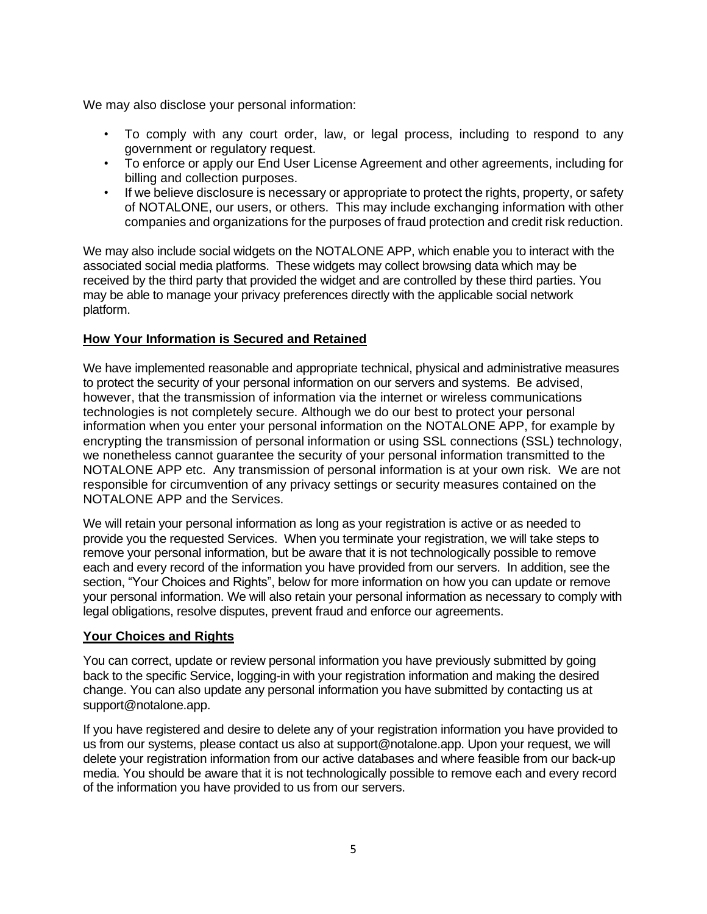We may also disclose your personal information:

- To comply with any court order, law, or legal process, including to respond to any government or regulatory request.
- To enforce or apply our End User License Agreement and other agreements, including for billing and collection purposes.
- If we believe disclosure is necessary or appropriate to protect the rights, property, or safety of NOTALONE, our users, or others. This may include exchanging information with other companies and organizations for the purposes of fraud protection and credit risk reduction.

We may also include social widgets on the NOTALONE APP, which enable you to interact with the associated social media platforms. These widgets may collect browsing data which may be received by the third party that provided the widget and are controlled by these third parties. You may be able to manage your privacy preferences directly with the applicable social network platform.

# **How Your Information is Secured and Retained**

We have implemented reasonable and appropriate technical, physical and administrative measures to protect the security of your personal information on our servers and systems. Be advised, however, that the transmission of information via the internet or wireless communications technologies is not completely secure. Although we do our best to protect your personal information when you enter your personal information on the NOTALONE APP, for example by encrypting the transmission of personal information or using SSL connections (SSL) technology, we nonetheless cannot guarantee the security of your personal information transmitted to the NOTALONE APP etc. Any transmission of personal information is at your own risk. We are not responsible for circumvention of any privacy settings or security measures contained on the NOTALONE APP and the Services.

We will retain your personal information as long as your registration is active or as needed to provide you the requested Services. When you terminate your registration, we will take steps to remove your personal information, but be aware that it is not technologically possible to remove each and every record of the information you have provided from our servers. In addition, see the section, "Your Choices and Rights", below for more information on how you can update or remove your personal information. We will also retain your personal information as necessary to comply with legal obligations, resolve disputes, prevent fraud and enforce our agreements.

## **Your Choices and Rights**

You can correct, update or review personal information you have previously submitted by going back to the specific Service, logging-in with your registration information and making the desired change. You can also update any personal information you have submitted by contacting us at support@notalone.app.

If you have registered and desire to delete any of your registration information you have provided to us from our systems, please contact us also at support@notalone.app. Upon your request, we will delete your registration information from our active databases and where feasible from our back-up media. You should be aware that it is not technologically possible to remove each and every record of the information you have provided to us from our servers.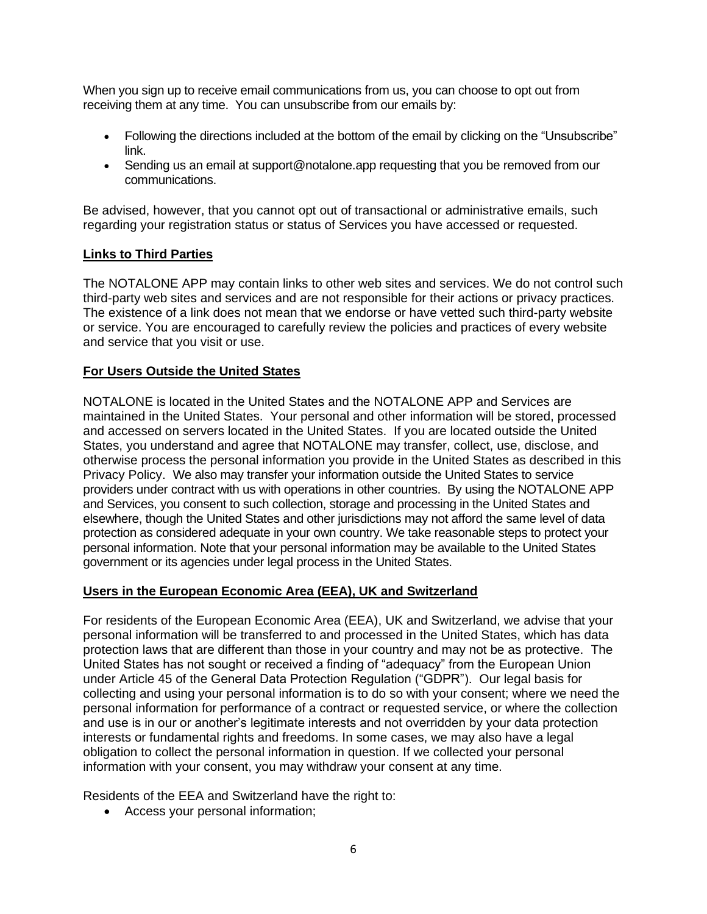When you sign up to receive email communications from us, you can choose to opt out from receiving them at any time. You can unsubscribe from our emails by:

- Following the directions included at the bottom of the email by clicking on the "Unsubscribe" link.
- Sending us an email at support@notalone.app requesting that you be removed from our communications.

Be advised, however, that you cannot opt out of transactional or administrative emails, such regarding your registration status or status of Services you have accessed or requested.

## **Links to Third Parties**

The NOTALONE APP may contain links to other web sites and services. We do not control such third-party web sites and services and are not responsible for their actions or privacy practices. The existence of a link does not mean that we endorse or have vetted such third-party website or service. You are encouraged to carefully review the policies and practices of every website and service that you visit or use.

# **For Users Outside the United States**

NOTALONE is located in the United States and the NOTALONE APP and Services are maintained in the United States. Your personal and other information will be stored, processed and accessed on servers located in the United States. If you are located outside the United States, you understand and agree that NOTALONE may transfer, collect, use, disclose, and otherwise process the personal information you provide in the United States as described in this Privacy Policy. We also may transfer your information outside the United States to service providers under contract with us with operations in other countries. By using the NOTALONE APP and Services, you consent to such collection, storage and processing in the United States and elsewhere, though the United States and other jurisdictions may not afford the same level of data protection as considered adequate in your own country. We take reasonable steps to protect your personal information. Note that your personal information may be available to the United States government or its agencies under legal process in the United States.

## **Users in the European Economic Area (EEA), UK and Switzerland**

For residents of the European Economic Area (EEA), UK and Switzerland, we advise that your personal information will be transferred to and processed in the United States, which has data protection laws that are different than those in your country and may not be as protective. The United States has not sought or received a finding of "adequacy" from the European Union under Article 45 of the General Data Protection Regulation ("GDPR"). Our legal basis for collecting and using your personal information is to do so with your consent; where we need the personal information for performance of a contract or requested service, or where the collection and use is in our or another's legitimate interests and not overridden by your data protection interests or fundamental rights and freedoms. In some cases, we may also have a legal obligation to collect the personal information in question. If we collected your personal information with your consent, you may withdraw your consent at any time.

Residents of the EEA and Switzerland have the right to:

• Access your personal information;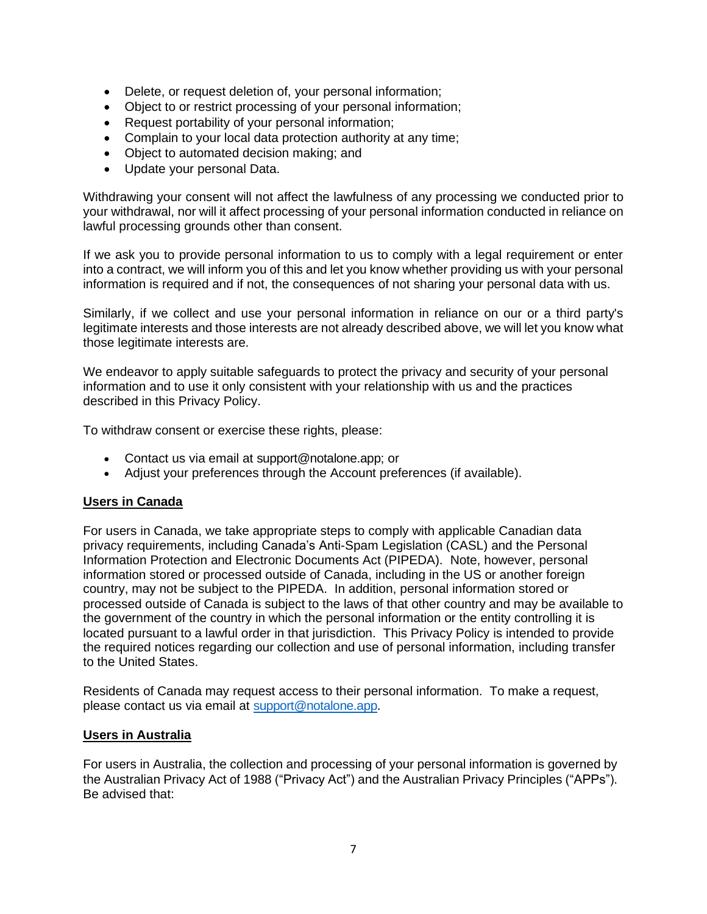- Delete, or request deletion of, your personal information;
- Object to or restrict processing of your personal information;
- Request portability of your personal information;
- Complain to your local data protection authority at any time;
- Object to automated decision making; and
- Update your personal Data.

Withdrawing your consent will not affect the lawfulness of any processing we conducted prior to your withdrawal, nor will it affect processing of your personal information conducted in reliance on lawful processing grounds other than consent.

If we ask you to provide personal information to us to comply with a legal requirement or enter into a contract, we will inform you of this and let you know whether providing us with your personal information is required and if not, the consequences of not sharing your personal data with us.

Similarly, if we collect and use your personal information in reliance on our or a third party's legitimate interests and those interests are not already described above, we will let you know what those legitimate interests are.

We endeavor to apply suitable safeguards to protect the privacy and security of your personal information and to use it only consistent with your relationship with us and the practices described in this Privacy Policy.

To withdraw consent or exercise these rights, please:

- Contact us via email at support@notalone.app; or
- Adjust your preferences through the Account preferences (if available).

#### **Users in Canada**

For users in Canada, we take appropriate steps to comply with applicable Canadian data privacy requirements, including Canada's Anti-Spam Legislation (CASL) and the Personal Information Protection and Electronic Documents Act (PIPEDA). Note, however, personal information stored or processed outside of Canada, including in the US or another foreign country, may not be subject to the PIPEDA. In addition, personal information stored or processed outside of Canada is subject to the laws of that other country and may be available to the government of the country in which the personal information or the entity controlling it is located pursuant to a lawful order in that jurisdiction. This Privacy Policy is intended to provide the required notices regarding our collection and use of personal information, including transfer to the United States.

Residents of Canada may request access to their personal information. To make a request, please contact us via email at [support@notalone.app.](mailto:support@notalone.app)

#### **Users in Australia**

For users in Australia, the collection and processing of your personal information is governed by the Australian Privacy Act of 1988 ("Privacy Act") and the Australian Privacy Principles ("APPs"). Be advised that: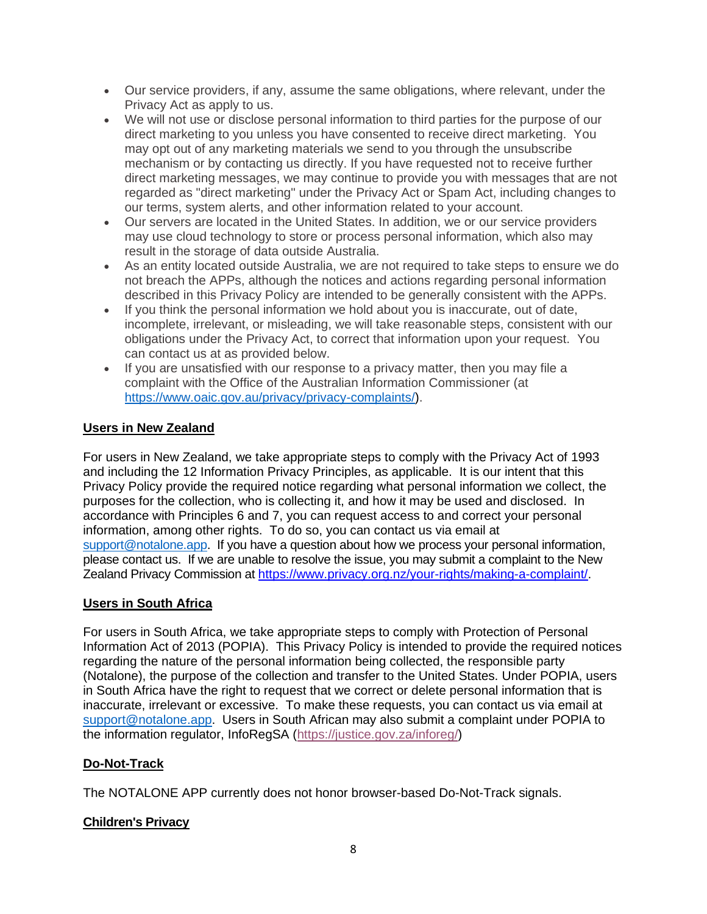- Our service providers, if any, assume the same obligations, where relevant, under the Privacy Act as apply to us.
- We will not use or disclose personal information to third parties for the purpose of our direct marketing to you unless you have consented to receive direct marketing. You may opt out of any marketing materials we send to you through the unsubscribe mechanism or by contacting us directly. If you have requested not to receive further direct marketing messages, we may continue to provide you with messages that are not regarded as "direct marketing" under the Privacy Act or Spam Act, including changes to our terms, system alerts, and other information related to your account.
- Our servers are located in the United States. In addition, we or our service providers may use cloud technology to store or process personal information, which also may result in the storage of data outside Australia.
- As an entity located outside Australia, we are not required to take steps to ensure we do not breach the APPs, although the notices and actions regarding personal information described in this Privacy Policy are intended to be generally consistent with the APPs.
- If you think the personal information we hold about you is inaccurate, out of date, incomplete, irrelevant, or misleading, we will take reasonable steps, consistent with our obligations under the Privacy Act, to correct that information upon your request. You can contact us at as provided below.
- If you are unsatisfied with our response to a privacy matter, then you may file a complaint with the Office of the Australian Information Commissioner (at [https://www.oaic.gov.au/privacy/privacy-complaints/\)](https://www.oaic.gov.au/privacy/privacy-complaints/).

# **Users in New Zealand**

For users in New Zealand, we take appropriate steps to comply with the Privacy Act of 1993 and including the 12 Information Privacy Principles, as applicable. It is our intent that this Privacy Policy provide the required notice regarding what personal information we collect, the purposes for the collection, who is collecting it, and how it may be used and disclosed. In accordance with Principles 6 and 7, you can request access to and correct your personal information, among other rights. To do so, you can contact us via email at [support@notalone.app.](mailto:support@notalone.app) If you have a question about how we process your personal information, please contact us. If we are unable to resolve the issue, you may submit a complaint to the New Zealand Privacy Commission a[t https://www.privacy.org.nz/your-rights/making-a-complaint/.](https://www.privacy.org.nz/your-rights/making-a-complaint/)

## **Users in South Africa**

For users in South Africa, we take appropriate steps to comply with Protection of Personal Information Act of 2013 (POPIA). This Privacy Policy is intended to provide the required notices regarding the nature of the personal information being collected, the responsible party (Notalone), the purpose of the collection and transfer to the United States. Under POPIA, users in South Africa have the right to request that we correct or delete personal information that is inaccurate, irrelevant or excessive. To make these requests, you can contact us via email at [support@notalone.app.](mailto:support@notalone.app) Users in South African may also submit a complaint under POPIA to the information regulator, InfoRegSA [\(https://justice.gov.za/inforeg/\)](https://justice.gov.za/inforeg/)

## **Do-Not-Track**

The NOTALONE APP currently does not honor browser-based Do-Not-Track signals.

## **Children's Privacy**